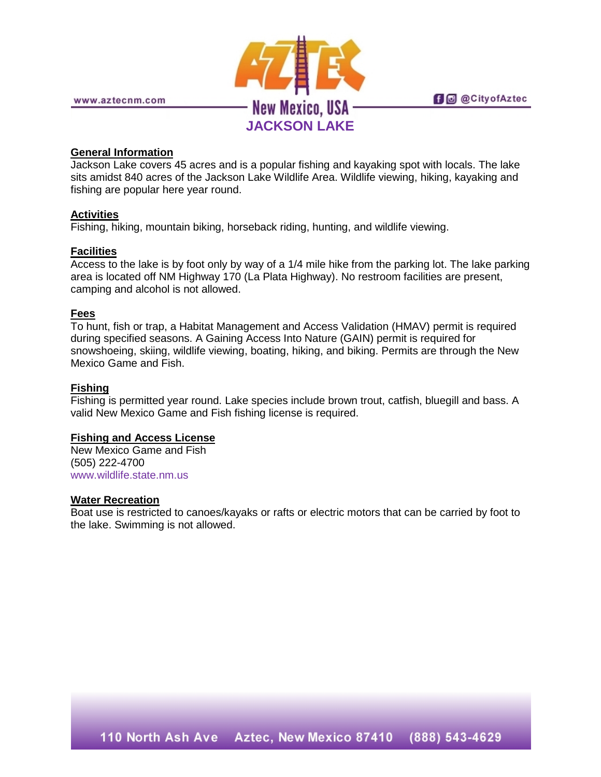

**fi d** @CityofAztec

# **General Information**

Jackson Lake covers 45 acres and is a popular fishing and kayaking spot with locals. The lake sits amidst 840 acres of the Jackson Lake Wildlife Area. Wildlife viewing, hiking, kayaking and fishing are popular here year round.

### **Activities**

Fishing, hiking, mountain biking, horseback riding, hunting, and wildlife viewing.

# **Facilities**

Access to the lake is by foot only by way of a 1/4 mile hike from the parking lot. The lake parking area is located off NM Highway 170 (La Plata Highway). No restroom facilities are present, camping and alcohol is not allowed.

# **Fees**

To hunt, fish or trap, a Habitat Management and Access Validation (HMAV) permit is required during specified seasons. A Gaining Access Into Nature (GAIN) permit is required for snowshoeing, skiing, wildlife viewing, boating, hiking, and biking. Permits are through the New Mexico Game and Fish.

# **Fishing**

Fishing is permitted year round. Lake species include brown trout, catfish, bluegill and bass. A valid New Mexico Game and Fish fishing license is required.

### **Fishing and Access License**

New Mexico Game and Fish (505) 222-4700 [www.wildlife.state.nm.us](http://www.wildlife.state.nm.us/)

### **Water Recreation**

Boat use is restricted to canoes/kayaks or rafts or electric motors that can be carried by foot to the lake. Swimming is not allowed.